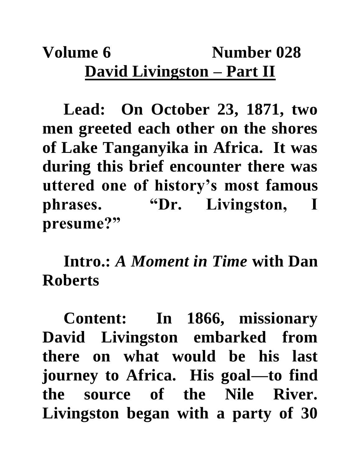## **Volume 6** Number 028 **David Livingston – Part II**

**Lead: On October 23, 1871, two men greeted each other on the shores of Lake Tanganyika in Africa. It was during this brief encounter there was uttered one of history's most famous phrases. "Dr. Livingston, I presume?"**

**Intro.:** *A Moment in Time* **with Dan Roberts**

**Content: In 1866, missionary David Livingston embarked from there on what would be his last journey to Africa. His goal—to find the source of the Nile River. Livingston began with a party of 30**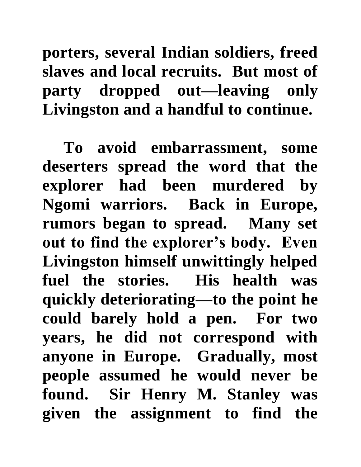**porters, several Indian soldiers, freed slaves and local recruits. But most of party dropped out—leaving only Livingston and a handful to continue.**

**To avoid embarrassment, some deserters spread the word that the explorer had been murdered by Ngomi warriors. Back in Europe, rumors began to spread. Many set out to find the explorer's body. Even Livingston himself unwittingly helped fuel the stories. His health was quickly deteriorating—to the point he could barely hold a pen. For two years, he did not correspond with anyone in Europe. Gradually, most people assumed he would never be found. Sir Henry M. Stanley was given the assignment to find the**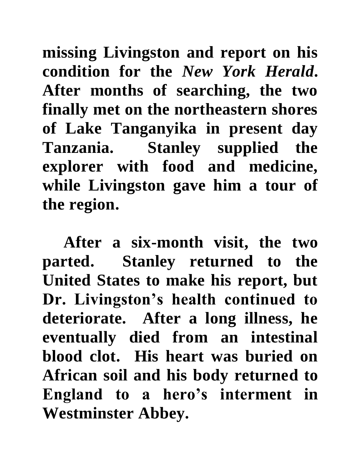**missing Livingston and report on his condition for the** *New York Herald***. After months of searching, the two finally met on the northeastern shores of Lake Tanganyika in present day Tanzania. Stanley supplied the explorer with food and medicine, while Livingston gave him a tour of the region.**

**After a six-month visit, the two parted. Stanley returned to the United States to make his report, but Dr. Livingston's health continued to deteriorate. After a long illness, he eventually died from an intestinal blood clot. His heart was buried on African soil and his body returned to England to a hero's interment in Westminster Abbey.**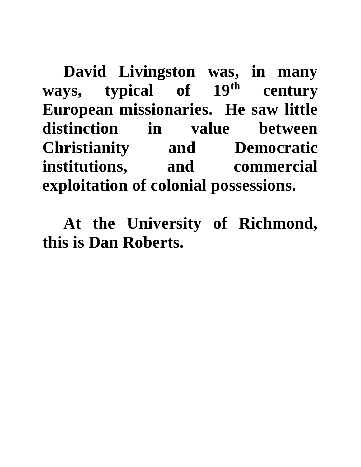**David Livingston was, in many ways, typical of 19th century European missionaries. He saw little distinction in value between Christianity and Democratic institutions, and commercial exploitation of colonial possessions.** 

**At the University of Richmond, this is Dan Roberts.**